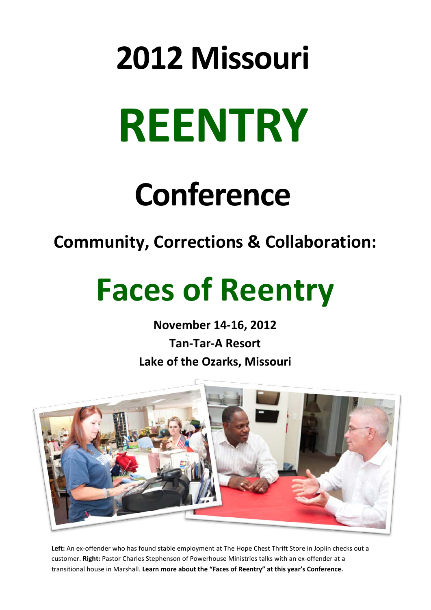# **2012 Missouri REENTRY**

# **Conference**

# **Community, Corrections & Collaboration:**

# **Faces of Reentry**

**November 14-16, 2012 Tan-Tar-A Resort Lake of the Ozarks, Missouri**



**Left:** An ex-offender who has found stable employment at The Hope Chest Thrift Store in Joplin checks out a customer. **Right:** Pastor Charles Stephenson of Powerhouse Ministries talks with an ex-offender at a transitional house in Marshall. **Learn more about the "Faces of Reentry" at this year's Conference.**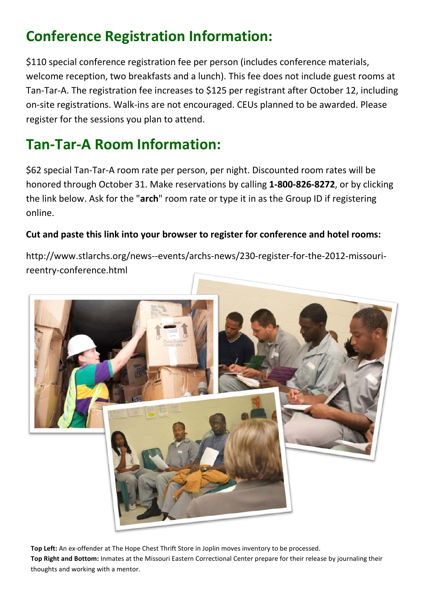## **Conference Registration Information:**

\$110 special conference registration fee per person (includes conference materials, welcome reception, two breakfasts and a lunch). This fee does not include guest rooms at Tan-Tar-A. The registration fee increases to \$125 per registrant after October 12, including on-site registrations. Walk-ins are not encouraged. CEUs planned to be awarded. Please register for the sessions you plan to attend.

### **Tan-Tar-A Room Information:**

\$62 special Tan-Tar-A room rate per person, per night. Discounted room rates will be honored through October 31. Make reservations by calling **1-800-826-8272**, or by clicking the link below. Ask for the "**arch**" room rate or type it in as the Group ID if registering online.

#### **Cut and paste this link into your browser to register for conference and hotel rooms:**

http://www.stlarchs.org/news--events/archs-news/230-register-for-the-2012-missourireentry-conference.html



**Top Left:** An ex-offender at The Hope Chest Thrift Store in Joplin moves inventory to be processed. **Top Right and Bottom:** Inmates at the Missouri Eastern Correctional Center prepare for their release by journaling their thoughts and working with a mentor.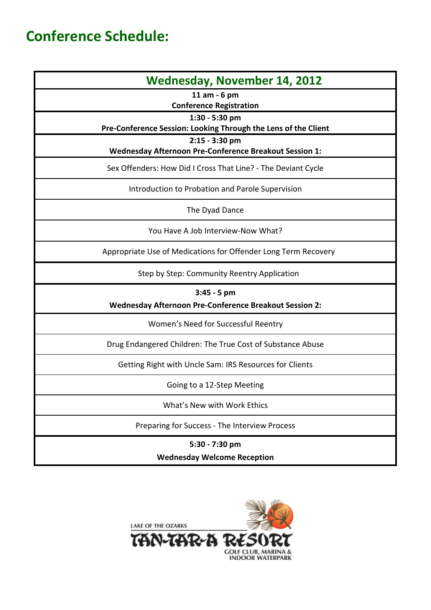### **Conference Schedule:**

| <b>Wednesday, November 14, 2012</b>                                      |
|--------------------------------------------------------------------------|
| 11 am - 6 pm<br><b>Conference Registration</b>                           |
| 1:30 - 5:30 pm                                                           |
| Pre-Conference Session: Looking Through the Lens of the Client           |
| 2:15 - 3:30 pm<br>Wednesday Afternoon Pre-Conference Breakout Session 1: |
| Sex Offenders: How Did I Cross That Line? - The Deviant Cycle            |
| Introduction to Probation and Parole Supervision                         |
| The Dyad Dance                                                           |
| You Have A Job Interview-Now What?                                       |
| Appropriate Use of Medications for Offender Long Term Recovery           |
| Step by Step: Community Reentry Application                              |
| 3:45 - 5 pm                                                              |
| Wednesday Afternoon Pre-Conference Breakout Session 2:                   |
| Women's Need for Successful Reentry                                      |
| Drug Endangered Children: The True Cost of Substance Abuse               |
| Getting Right with Uncle Sam: IRS Resources for Clients                  |
| Going to a 12-Step Meeting                                               |
| What's New with Work Ethics                                              |
| Preparing for Success - The Interview Process                            |
| 5:30 - 7:30 pm                                                           |
| <b>Wednesday Welcome Reception</b>                                       |

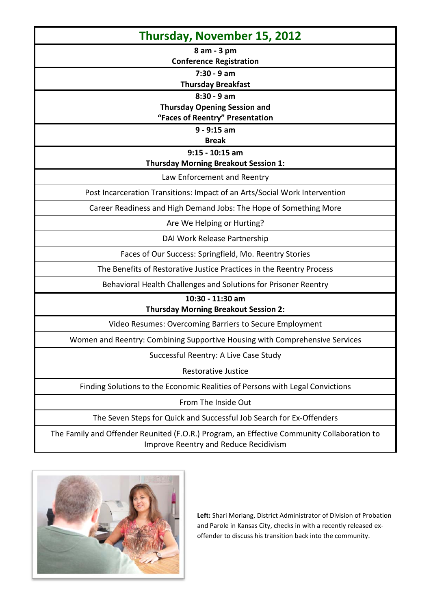| Thursday, November 15, 2012                                                                |
|--------------------------------------------------------------------------------------------|
| 8 am - 3 pm                                                                                |
| <b>Conference Registration</b>                                                             |
| $7:30 - 9$ am                                                                              |
| <b>Thursday Breakfast</b>                                                                  |
| $8:30 - 9$ am                                                                              |
| <b>Thursday Opening Session and</b>                                                        |
| "Faces of Reentry" Presentation<br>$9 - 9:15$ am                                           |
| <b>Break</b>                                                                               |
| $9:15 - 10:15$ am                                                                          |
| <b>Thursday Morning Breakout Session 1:</b>                                                |
| Law Enforcement and Reentry                                                                |
| Post Incarceration Transitions: Impact of an Arts/Social Work Intervention                 |
| Career Readiness and High Demand Jobs: The Hope of Something More                          |
| Are We Helping or Hurting?                                                                 |
| DAI Work Release Partnership                                                               |
| Faces of Our Success: Springfield, Mo. Reentry Stories                                     |
| The Benefits of Restorative Justice Practices in the Reentry Process                       |
| Behavioral Health Challenges and Solutions for Prisoner Reentry                            |
| 10:30 - 11:30 am                                                                           |
| <b>Thursday Morning Breakout Session 2:</b>                                                |
| Video Resumes: Overcoming Barriers to Secure Employment                                    |
| Women and Reentry: Combining Supportive Housing with Comprehensive Services                |
| Successful Reentry: A Live Case Study                                                      |
| <b>Restorative Justice</b>                                                                 |
| Finding Solutions to the Economic Realities of Persons with Legal Convictions              |
| From The Inside Out                                                                        |
| The Seven Steps for Quick and Successful Job Search for Ex-Offenders                       |
| The Family and Offender Reunited (F.O.R.) Program, an Effective Community Collaboration to |

Improve Reentry and Reduce Recidivism



**Left:** Shari Morlang, District Administrator of Division of Probation and Parole in Kansas City, checks in with a recently released exoffender to discuss his transition back into the community.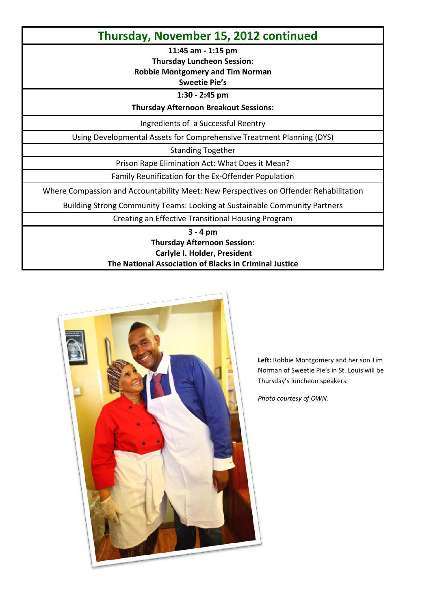#### **Thursday, November 15, 2012 continued**

**11:45 am - 1:15 pm**

**Thursday Luncheon Session:**

**Robbie Montgomery and Tim Norman**

#### **Sweetie Pie's**

**1:30 - 2:45 pm**

**Thursday Afternoon Breakout Sessions:**

Ingredients of a Successful Reentry

Using Developmental Assets for Comprehensive Treatment Planning (DYS)

Standing Together

Prison Rape Elimination Act: What Does it Mean?

Family Reunification for the Ex-Offender Population

Where Compassion and Accountability Meet: New Perspectives on Offender Rehabilitation

Building Strong Community Teams: Looking at Sustainable Community Partners

Creating an Effective Transitional Housing Program

**3 - 4 pm**

#### **Thursday Afternoon Session: Carlyle I. Holder, President The National Association of Blacks in Criminal Justice**



**Left:** Robbie Montgomery and her son Tim Norman of Sweetie Pie's in St. Louis will be Thursday's luncheon speakers.

*Photo courtesy of OWN.*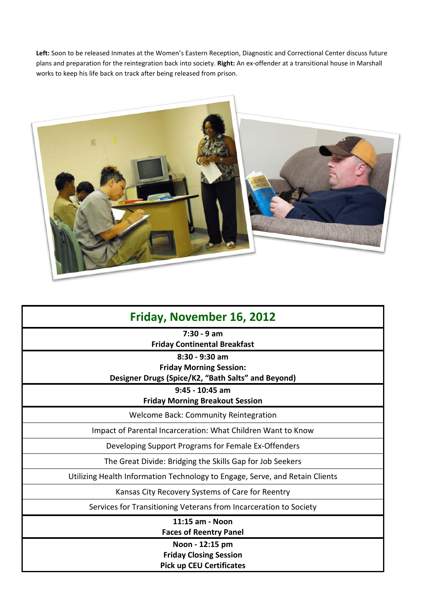**Left:** Soon to be released Inmates at the Women's Eastern Reception, Diagnostic and Correctional Center discuss future plans and preparation for the reintegration back into society. **Right:** An ex-offender at a transitional house in Marshall works to keep his life back on track after being released from prison.



| Friday, November 16, 2012                                                                                |
|----------------------------------------------------------------------------------------------------------|
| $7:30 - 9$ am<br><b>Friday Continental Breakfast</b>                                                     |
| $8:30 - 9:30$ am<br><b>Friday Morning Session:</b><br>Designer Drugs (Spice/K2, "Bath Salts" and Beyond) |
| $9:45 - 10:45$ am<br><b>Friday Morning Breakout Session</b>                                              |
| <b>Welcome Back: Community Reintegration</b>                                                             |
| Impact of Parental Incarceration: What Children Want to Know                                             |
| Developing Support Programs for Female Ex-Offenders                                                      |
| The Great Divide: Bridging the Skills Gap for Job Seekers                                                |
| Utilizing Health Information Technology to Engage, Serve, and Retain Clients                             |
| Kansas City Recovery Systems of Care for Reentry                                                         |
| Services for Transitioning Veterans from Incarceration to Society                                        |
| 11:15 am - Noon<br><b>Faces of Reentry Panel</b>                                                         |
| Noon - 12:15 pm<br><b>Friday Closing Session</b><br><b>Pick up CEU Certificates</b>                      |